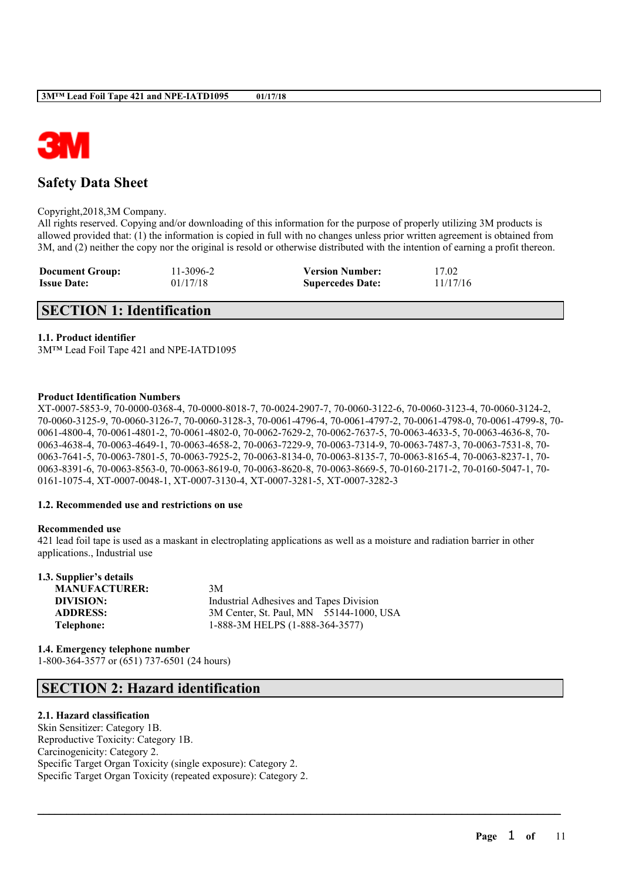

## **Safety Data Sheet**

Copyright,2018,3M Company.

All rights reserved. Copying and/or downloading of this information for the purpose of properly utilizing 3M products is allowed provided that: (1) the information is copied in full with no changes unless prior written agreement is obtained from 3M, and (2) neither the copy nor the original is resold or otherwise distributed with the intention of earning a profit thereon.

| <b>Document Group:</b> | 11-3096-2 | <b>Version Number:</b>  | 17.02    |
|------------------------|-----------|-------------------------|----------|
| <b>Issue Date:</b>     | 01/17/18  | <b>Supercedes Date:</b> | 11/17/16 |

## **SECTION 1: Identification**

#### **1.1. Product identifier**

3M™ Lead Foil Tape 421 and NPE-IATD1095

#### **Product Identification Numbers**

XT-0007-5853-9, 70-0000-0368-4, 70-0000-8018-7, 70-0024-2907-7, 70-0060-3122-6, 70-0060-3123-4, 70-0060-3124-2, 70-0060-3125-9, 70-0060-3126-7, 70-0060-3128-3, 70-0061-4796-4, 70-0061-4797-2, 70-0061-4798-0, 70-0061-4799-8, 70- 0061-4800-4, 70-0061-4801-2, 70-0061-4802-0, 70-0062-7629-2, 70-0062-7637-5, 70-0063-4633-5, 70-0063-4636-8, 70- 0063-4638-4, 70-0063-4649-1, 70-0063-4658-2, 70-0063-7229-9, 70-0063-7314-9, 70-0063-7487-3, 70-0063-7531-8, 70- 0063-7641-5, 70-0063-7801-5, 70-0063-7925-2, 70-0063-8134-0, 70-0063-8135-7, 70-0063-8165-4, 70-0063-8237-1, 70- 0063-8391-6, 70-0063-8563-0, 70-0063-8619-0, 70-0063-8620-8, 70-0063-8669-5, 70-0160-2171-2, 70-0160-5047-1, 70- 0161-1075-4, XT-0007-0048-1, XT-0007-3130-4, XT-0007-3281-5, XT-0007-3282-3

### **1.2. Recommended use and restrictions on use**

#### **Recommended use**

421 lead foil tape is used as a maskant in electroplating applications as well as a moisture and radiation barrier in other applications., Industrial use

 $\mathcal{L}_\mathcal{L} = \mathcal{L}_\mathcal{L} = \mathcal{L}_\mathcal{L} = \mathcal{L}_\mathcal{L} = \mathcal{L}_\mathcal{L} = \mathcal{L}_\mathcal{L} = \mathcal{L}_\mathcal{L} = \mathcal{L}_\mathcal{L} = \mathcal{L}_\mathcal{L} = \mathcal{L}_\mathcal{L} = \mathcal{L}_\mathcal{L} = \mathcal{L}_\mathcal{L} = \mathcal{L}_\mathcal{L} = \mathcal{L}_\mathcal{L} = \mathcal{L}_\mathcal{L} = \mathcal{L}_\mathcal{L} = \mathcal{L}_\mathcal{L}$ 

| 1.3. Supplier's details |                                         |
|-------------------------|-----------------------------------------|
| <b>MANUFACTURER:</b>    | 3M                                      |
| DIVISION:               | Industrial Adhesives and Tapes Division |
| <b>ADDRESS:</b>         | 3M Center, St. Paul, MN 55144-1000, USA |
| Telephone:              | 1-888-3M HELPS (1-888-364-3577)         |
|                         |                                         |

**1.4. Emergency telephone number** 1-800-364-3577 or (651) 737-6501 (24 hours)

## **SECTION 2: Hazard identification**

### **2.1. Hazard classification**

Skin Sensitizer: Category 1B. Reproductive Toxicity: Category 1B. Carcinogenicity: Category 2. Specific Target Organ Toxicity (single exposure): Category 2. Specific Target Organ Toxicity (repeated exposure): Category 2.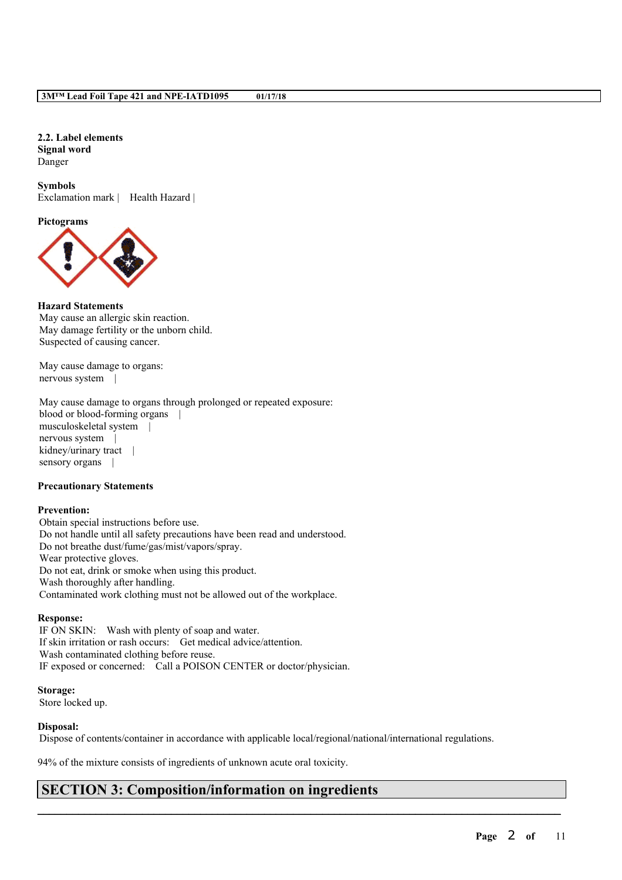**2.2. Label elements Signal word** Danger

**Symbols** Exclamation mark | Health Hazard |

**Pictograms**



#### **Hazard Statements**

May cause an allergic skin reaction. May damage fertility or the unborn child. Suspected of causing cancer.

May cause damage to organs: nervous system |

May cause damage to organs through prolonged or repeated exposure: blood or blood-forming organs | musculoskeletal system | nervous system | kidney/urinary tract | sensory organs |

#### **Precautionary Statements**

#### **Prevention:**

Obtain special instructions before use. Do not handle until all safety precautions have been read and understood. Do not breathe dust/fume/gas/mist/vapors/spray. Wear protective gloves. Do not eat, drink or smoke when using this product. Wash thoroughly after handling. Contaminated work clothing must not be allowed out of the workplace.

#### **Response:**

IF ON SKIN: Wash with plenty of soap and water. If skin irritation or rash occurs: Get medical advice/attention. Wash contaminated clothing before reuse. IF exposed or concerned: Call a POISON CENTER or doctor/physician.

**Storage:** Store locked up.

### **Disposal:**

Dispose of contents/container in accordance with applicable local/regional/national/international regulations.

 $\mathcal{L}_\mathcal{L} = \mathcal{L}_\mathcal{L} = \mathcal{L}_\mathcal{L} = \mathcal{L}_\mathcal{L} = \mathcal{L}_\mathcal{L} = \mathcal{L}_\mathcal{L} = \mathcal{L}_\mathcal{L} = \mathcal{L}_\mathcal{L} = \mathcal{L}_\mathcal{L} = \mathcal{L}_\mathcal{L} = \mathcal{L}_\mathcal{L} = \mathcal{L}_\mathcal{L} = \mathcal{L}_\mathcal{L} = \mathcal{L}_\mathcal{L} = \mathcal{L}_\mathcal{L} = \mathcal{L}_\mathcal{L} = \mathcal{L}_\mathcal{L}$ 

94% of the mixture consists of ingredients of unknown acute oral toxicity.

## **SECTION 3: Composition/information on ingredients**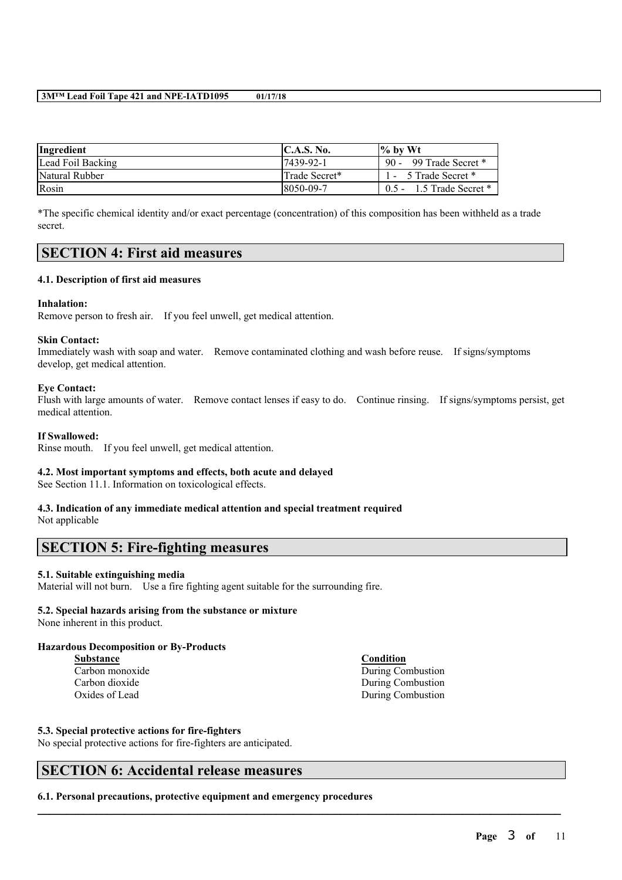| Ingredient        | <b>IC.A.S. No.</b> | $\frac{1}{2}$ by Wt          |
|-------------------|--------------------|------------------------------|
| Lead Foil Backing | 17439-92-1         | 90 - 99 Trade Secret *       |
| Natural Rubber    | Trade Secret*      | 1 - 5 Trade Secret *         |
| Rosin             | 8050-09-7          | $0.5 - 1.5$ Trade Secret $*$ |

\*The specific chemical identity and/or exact percentage (concentration) of this composition has been withheld as a trade secret.

## **SECTION 4: First aid measures**

### **4.1. Description of first aid measures**

#### **Inhalation:**

Remove person to fresh air. If you feel unwell, get medical attention.

#### **Skin Contact:**

Immediately wash with soap and water. Remove contaminated clothing and wash before reuse. If signs/symptoms develop, get medical attention.

#### **Eye Contact:**

Flush with large amounts of water. Remove contact lenses if easy to do. Continue rinsing. If signs/symptoms persist, get medical attention.

 $\mathcal{L}_\mathcal{L} = \mathcal{L}_\mathcal{L} = \mathcal{L}_\mathcal{L} = \mathcal{L}_\mathcal{L} = \mathcal{L}_\mathcal{L} = \mathcal{L}_\mathcal{L} = \mathcal{L}_\mathcal{L} = \mathcal{L}_\mathcal{L} = \mathcal{L}_\mathcal{L} = \mathcal{L}_\mathcal{L} = \mathcal{L}_\mathcal{L} = \mathcal{L}_\mathcal{L} = \mathcal{L}_\mathcal{L} = \mathcal{L}_\mathcal{L} = \mathcal{L}_\mathcal{L} = \mathcal{L}_\mathcal{L} = \mathcal{L}_\mathcal{L}$ 

#### **If Swallowed:**

Rinse mouth. If you feel unwell, get medical attention.

#### **4.2. Most important symptoms and effects, both acute and delayed**

See Section 11.1. Information on toxicological effects.

## **4.3. Indication of any immediate medical attention and special treatment required**

Not applicable

# **SECTION 5: Fire-fighting measures**

### **5.1. Suitable extinguishing media**

Material will not burn. Use a fire fighting agent suitable for the surrounding fire.

### **5.2. Special hazards arising from the substance or mixture**

None inherent in this product.

#### **Hazardous Decomposition or By-Products**

**Substance Condition**

Carbon monoxide During Combustion Carbon dioxide During Combustion Oxides of Lead During Combustion

#### **5.3. Special protective actions for fire-fighters**

No special protective actions for fire-fighters are anticipated.

## **SECTION 6: Accidental release measures**

**6.1. Personal precautions, protective equipment and emergency procedures**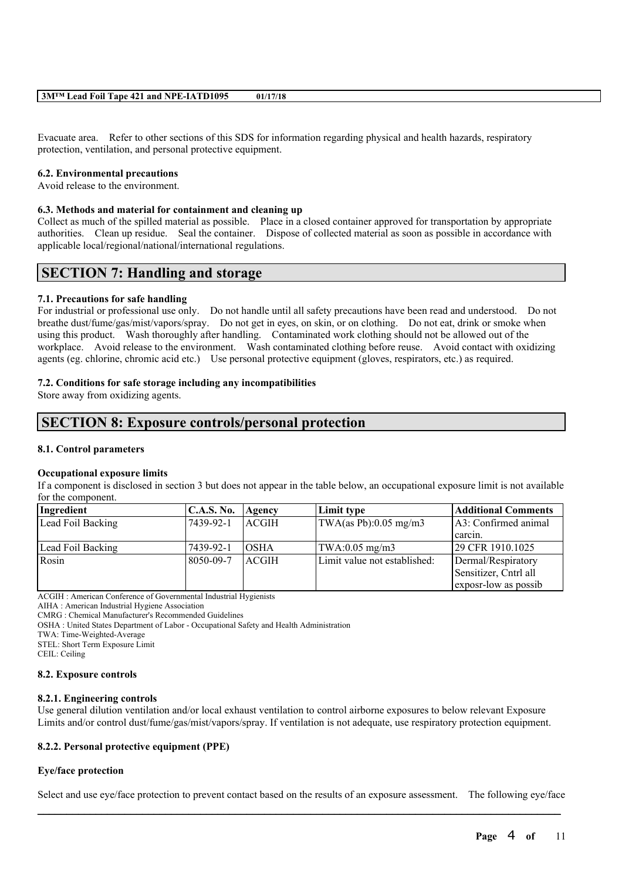Evacuate area. Refer to other sections of this SDS for information regarding physical and health hazards, respiratory protection, ventilation, and personal protective equipment.

#### **6.2. Environmental precautions**

Avoid release to the environment.

#### **6.3. Methods and material for containment and cleaning up**

Collect as much of the spilled material as possible. Place in a closed container approved for transportation by appropriate authorities. Clean up residue. Seal the container. Dispose of collected material as soon as possible in accordance with applicable local/regional/national/international regulations.

## **SECTION 7: Handling and storage**

#### **7.1. Precautions for safe handling**

For industrial or professional use only. Do not handle until all safety precautions have been read and understood. Do not breathe dust/fume/gas/mist/vapors/spray. Do not get in eyes, on skin, or on clothing. Do not eat, drink or smoke when using this product. Wash thoroughly after handling. Contaminated work clothing should not be allowed out of the workplace. Avoid release to the environment. Wash contaminated clothing before reuse. Avoid contact with oxidizing agents (eg. chlorine, chromic acid etc.) Use personal protective equipment (gloves, respirators, etc.) as required.

### **7.2. Conditions for safe storage including any incompatibilities**

Store away from oxidizing agents.

## **SECTION 8: Exposure controls/personal protection**

#### **8.1. Control parameters**

#### **Occupational exposure limits**

If a component is disclosed in section 3 but does not appear in the table below, an occupational exposure limit is not available for the component.

| Ingredient        | <b>C.A.S. No.</b> | Agency        | Limit type                                                       | <b>Additional Comments</b> |
|-------------------|-------------------|---------------|------------------------------------------------------------------|----------------------------|
| Lead Foil Backing | 17439-92-1        | <b>LACGIH</b> | $\text{TWA}\left(\text{as Pb}\right):0.05 \text{ mg}/\text{m}^2$ | [A3: Confirmed animal]     |
|                   |                   |               |                                                                  | carcin.                    |
| Lead Foil Backing | 7439-92-1         | <b>OSHA</b>   | $\text{TWA}:0.05 \text{ mg/m3}$                                  | 29 CFR 1910.1025           |
| Rosin             | 8050-09-7         | ACGIH         | Limit value not established:                                     | Dermal/Respiratory         |
|                   |                   |               |                                                                  | Sensitizer, Cntrl all      |
|                   |                   |               |                                                                  | exposr-low as possib       |

ACGIH : American Conference of Governmental Industrial Hygienists

AIHA : American Industrial Hygiene Association

CMRG : Chemical Manufacturer's Recommended Guidelines

OSHA : United States Department of Labor - Occupational Safety and Health Administration

TWA: Time-Weighted-Average

STEL: Short Term Exposure Limit

CEIL: Ceiling

#### **8.2. Exposure controls**

#### **8.2.1. Engineering controls**

Use general dilution ventilation and/or local exhaust ventilation to control airborne exposures to below relevant Exposure Limits and/or control dust/fume/gas/mist/vapors/spray. If ventilation is not adequate, use respiratory protection equipment.

### **8.2.2. Personal protective equipment (PPE)**

### **Eye/face protection**

 $\mathcal{L}_\mathcal{L} = \mathcal{L}_\mathcal{L} = \mathcal{L}_\mathcal{L} = \mathcal{L}_\mathcal{L} = \mathcal{L}_\mathcal{L} = \mathcal{L}_\mathcal{L} = \mathcal{L}_\mathcal{L} = \mathcal{L}_\mathcal{L} = \mathcal{L}_\mathcal{L} = \mathcal{L}_\mathcal{L} = \mathcal{L}_\mathcal{L} = \mathcal{L}_\mathcal{L} = \mathcal{L}_\mathcal{L} = \mathcal{L}_\mathcal{L} = \mathcal{L}_\mathcal{L} = \mathcal{L}_\mathcal{L} = \mathcal{L}_\mathcal{L}$ Select and use eye/face protection to prevent contact based on the results of an exposure assessment. The following eye/face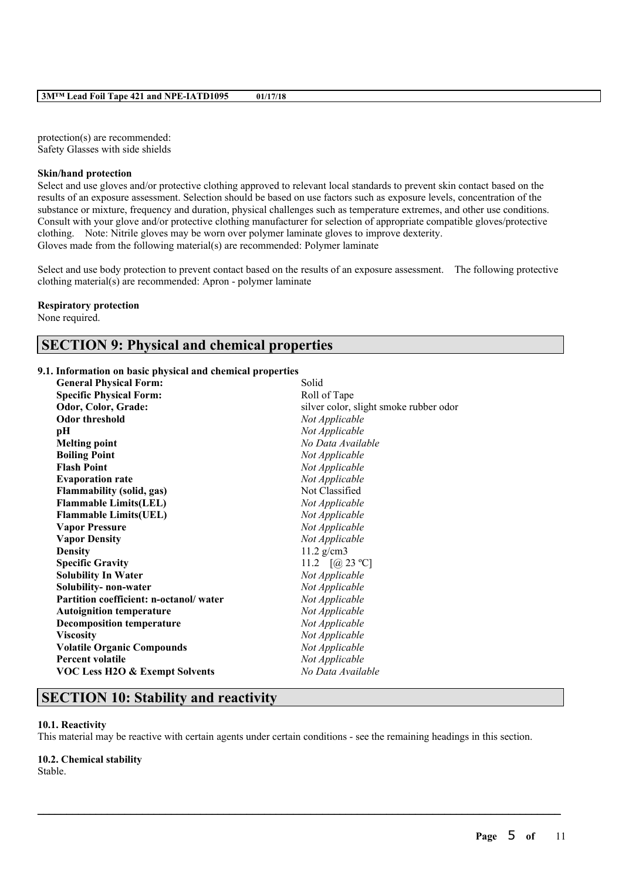protection(s) are recommended: Safety Glasses with side shields

#### **Skin/hand protection**

Select and use gloves and/or protective clothing approved to relevant local standards to prevent skin contact based on the results of an exposure assessment. Selection should be based on use factors such as exposure levels, concentration of the substance or mixture, frequency and duration, physical challenges such as temperature extremes, and other use conditions. Consult with your glove and/or protective clothing manufacturer for selection of appropriate compatible gloves/protective clothing. Note: Nitrile gloves may be worn over polymer laminate gloves to improve dexterity. Gloves made from the following material(s) are recommended: Polymer laminate

Select and use body protection to prevent contact based on the results of an exposure assessment. The following protective clothing material(s) are recommended: Apron - polymer laminate

#### **Respiratory protection**

None required.

## **SECTION 9: Physical and chemical properties**

### **9.1. Information on basic physical and chemical properties**

| <b>General Physical Form:</b>             | Solid                                  |
|-------------------------------------------|----------------------------------------|
| <b>Specific Physical Form:</b>            | Roll of Tape                           |
| Odor, Color, Grade:                       | silver color, slight smoke rubber odor |
| <b>Odor threshold</b>                     | Not Applicable                         |
| pН                                        | Not Applicable                         |
| <b>Melting point</b>                      | No Data Available                      |
| <b>Boiling Point</b>                      | Not Applicable                         |
| <b>Flash Point</b>                        | Not Applicable                         |
| <b>Evaporation rate</b>                   | Not Applicable                         |
| <b>Flammability (solid, gas)</b>          | Not Classified                         |
| <b>Flammable Limits(LEL)</b>              | Not Applicable                         |
| <b>Flammable Limits(UEL)</b>              | Not Applicable                         |
| <b>Vapor Pressure</b>                     | Not Applicable                         |
| <b>Vapor Density</b>                      | Not Applicable                         |
| <b>Density</b>                            | $11.2$ g/cm3                           |
| <b>Specific Gravity</b>                   | 11.2 $[@23 °C]$                        |
| <b>Solubility In Water</b>                | Not Applicable                         |
| Solubility- non-water                     | Not Applicable                         |
| Partition coefficient: n-octanol/water    | Not Applicable                         |
| <b>Autoignition temperature</b>           | Not Applicable                         |
| <b>Decomposition temperature</b>          | Not Applicable                         |
| <b>Viscosity</b>                          | Not Applicable                         |
| <b>Volatile Organic Compounds</b>         | Not Applicable                         |
| <b>Percent volatile</b>                   | Not Applicable                         |
| <b>VOC Less H2O &amp; Exempt Solvents</b> | No Data Available                      |
|                                           |                                        |

## **SECTION 10: Stability and reactivity**

#### **10.1. Reactivity**

This material may be reactive with certain agents under certain conditions - see the remaining headings in this section.

 $\mathcal{L}_\mathcal{L} = \mathcal{L}_\mathcal{L} = \mathcal{L}_\mathcal{L} = \mathcal{L}_\mathcal{L} = \mathcal{L}_\mathcal{L} = \mathcal{L}_\mathcal{L} = \mathcal{L}_\mathcal{L} = \mathcal{L}_\mathcal{L} = \mathcal{L}_\mathcal{L} = \mathcal{L}_\mathcal{L} = \mathcal{L}_\mathcal{L} = \mathcal{L}_\mathcal{L} = \mathcal{L}_\mathcal{L} = \mathcal{L}_\mathcal{L} = \mathcal{L}_\mathcal{L} = \mathcal{L}_\mathcal{L} = \mathcal{L}_\mathcal{L}$ 

# **10.2. Chemical stability**

Stable.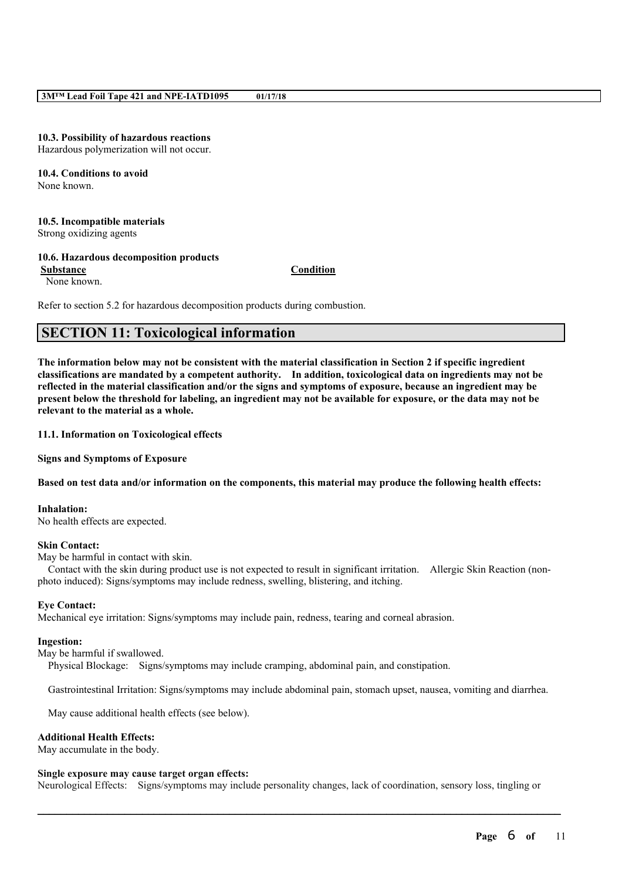#### **10.3. Possibility of hazardous reactions**

Hazardous polymerization will not occur.

#### **10.4. Conditions to avoid** None known.

### **10.5. Incompatible materials**

Strong oxidizing agents

#### **10.6. Hazardous decomposition products**

**Substance Condition**

None known.

Refer to section 5.2 for hazardous decomposition products during combustion.

## **SECTION 11: Toxicological information**

The information below may not be consistent with the material classification in Section 2 if specific ingredient **classifications are mandated by a competent authority. In addition, toxicological data on ingredients may not be** reflected in the material classification and/or the signs and symptoms of exposure, because an ingredient may be present below the threshold for labeling, an ingredient may not be available for exposure, or the data may not be **relevant to the material as a whole.**

#### **11.1. Information on Toxicological effects**

**Signs and Symptoms of Exposure**

#### Based on test data and/or information on the components, this material may produce the following health effects:

**Inhalation:**

No health effects are expected.

#### **Skin Contact:**

May be harmful in contact with skin.

Contact with the skin during product use is not expected to result in significant irritation. Allergic Skin Reaction (nonphoto induced): Signs/symptoms may include redness, swelling, blistering, and itching.

### **Eye Contact:**

Mechanical eye irritation: Signs/symptoms may include pain, redness, tearing and corneal abrasion.

#### **Ingestion:**

May be harmful if swallowed.

Physical Blockage: Signs/symptoms may include cramping, abdominal pain, and constipation.

Gastrointestinal Irritation: Signs/symptoms may include abdominal pain, stomach upset, nausea, vomiting and diarrhea.

May cause additional health effects (see below).

### **Additional Health Effects:**

May accumulate in the body.

#### **Single exposure may cause target organ effects:**

Neurological Effects: Signs/symptoms may include personality changes, lack of coordination, sensory loss, tingling or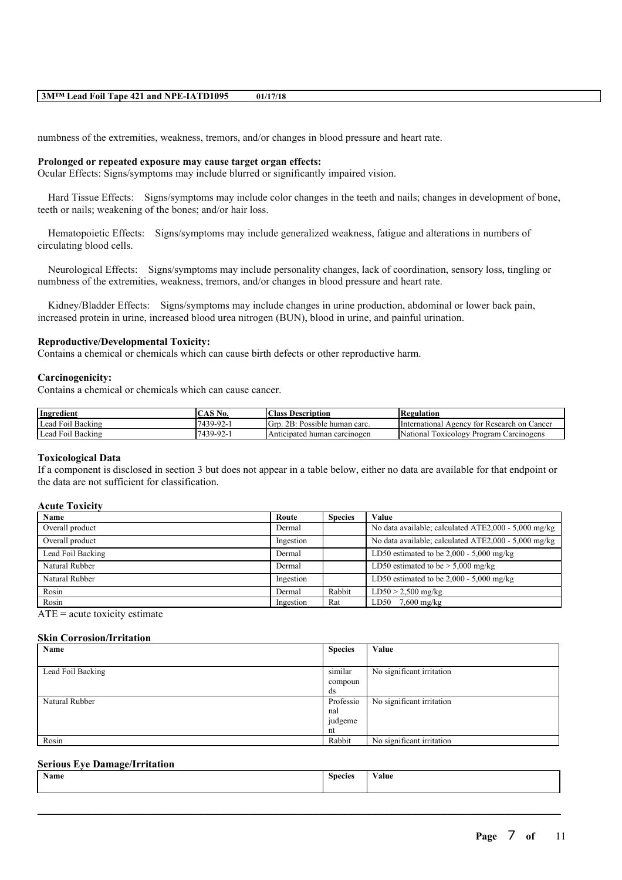numbness of the extremities, weakness, tremors, and/or changes in blood pressure and heart rate.

#### **Prolonged or repeated exposure may cause target organ effects:**

Ocular Effects: Signs/symptoms may include blurred or significantly impaired vision.

Hard Tissue Effects: Signs/symptoms may include color changes in the teeth and nails; changes in development of bone, teeth or nails; weakening of the bones; and/or hair loss.

Hematopoietic Effects: Signs/symptoms may include generalized weakness, fatigue and alterations in numbers of circulating blood cells.

Neurological Effects: Signs/symptoms may include personality changes, lack of coordination, sensory loss, tingling or numbness of the extremities, weakness, tremors, and/or changes in blood pressure and heart rate.

Kidney/Bladder Effects: Signs/symptoms may include changes in urine production, abdominal or lower back pain, increased protein in urine, increased blood urea nitrogen (BUN), blood in urine, and painful urination.

### **Reproductive/Developmental Toxicity:**

Contains a chemical or chemicals which can cause birth defects or other reproductive harm.

#### **Carcinogenicity:**

Contains a chemical or chemicals which can cause cancer.

| Ingredient              | $\angle$ AS N<br>NO. | Class<br>Description                  | <b>Regulation</b>                                                       |
|-------------------------|----------------------|---------------------------------------|-------------------------------------------------------------------------|
| Lead<br>Backing<br>F01  | $7439.92 - 1$        | 1Grr<br>2B:<br>. Possible human carc. | International Agency<br>⊓ for Research on Q<br>Cancer                   |
| Backing<br>Lead<br>F01l | $7439 - 92 - 1$      | Anticipated human carcinogen          | <b>STATE</b><br><i>National</i><br>Carcinogens<br>Toxicology<br>Program |

#### **Toxicological Data**

If a component is disclosed in section 3 but does not appear in a table below, either no data are available for that endpoint or the data are not sufficient for classification.

#### **Acute Toxicity**

| Name              | Route     | <b>Species</b> | Value                                                |
|-------------------|-----------|----------------|------------------------------------------------------|
| Overall product   | Dermal    |                | No data available; calculated ATE2,000 - 5,000 mg/kg |
| Overall product   | Ingestion |                | No data available; calculated ATE2,000 - 5,000 mg/kg |
| Lead Foil Backing | Dermal    |                | LD50 estimated to be $2,000 - 5,000$ mg/kg           |
| Natural Rubber    | Dermal    |                | LD50 estimated to be $> 5,000$ mg/kg                 |
| Natural Rubber    | Ingestion |                | LD50 estimated to be $2,000 - 5,000$ mg/kg           |
| Rosin             | Dermal    | Rabbit         | $LD50 > 2,500$ mg/kg                                 |
| Rosin             | Ingestion | Rat            | $LD50$ 7,600 mg/kg                                   |

 $ATE = acute$  toxicity estimate

#### **Skin Corrosion/Irritation**

| Name              | <b>Species</b> | Value                     |
|-------------------|----------------|---------------------------|
|                   |                |                           |
| Lead Foil Backing | similar        | No significant irritation |
|                   | compoun        |                           |
|                   | ds             |                           |
| Natural Rubber    | Professio      | No significant irritation |
|                   | nal            |                           |
|                   | judgeme        |                           |
|                   | nt             |                           |
| Rosin             | Rabbit         | No significant irritation |

#### **Serious Eye Damage/Irritation**

| $\overline{\phantom{a}}$<br>Name | $\sim$<br>___<br>Species | alue |
|----------------------------------|--------------------------|------|
|                                  |                          |      |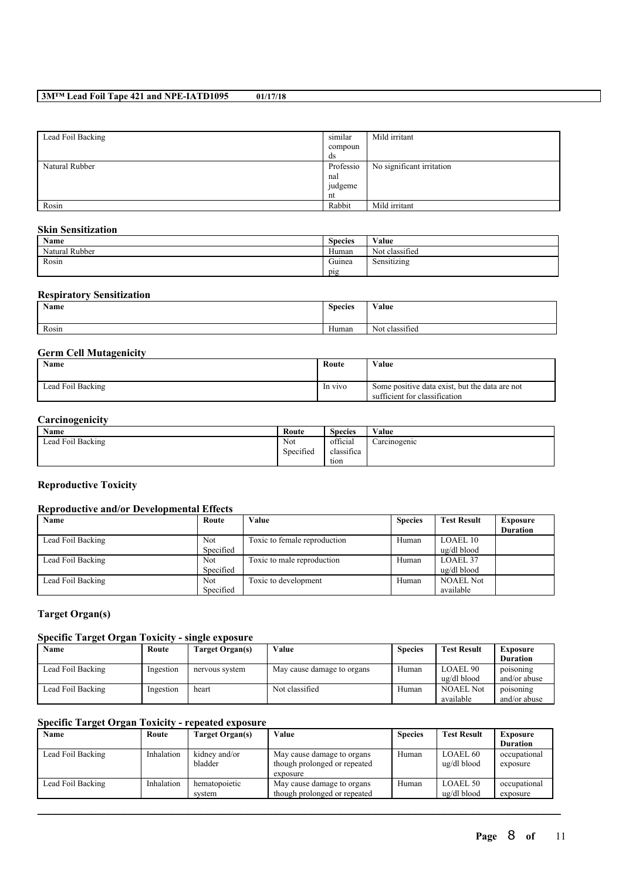| Lead Foil Backing | similar   | Mild irritant             |
|-------------------|-----------|---------------------------|
|                   | compoun   |                           |
|                   | ds        |                           |
| Natural Rubber    | Professio | No significant irritation |
|                   | nal       |                           |
|                   | judgeme   |                           |
|                   | nt        |                           |
| Rosin             | Rabbit    | Mild irritant             |

### **Skin Sensitization**

| Name           | $\sim$<br><b>Species</b> | Value                           |
|----------------|--------------------------|---------------------------------|
| Natural Rubber | Human                    | $\sim$ $\sim$<br>Not classified |
| Rosin          | $\sqrt{ }$<br>Guinea     | .<br>Sensitizing                |
|                | pig                      |                                 |

### **Respiratory Sensitization**

| Name  | <b>Species</b> | Value                            |
|-------|----------------|----------------------------------|
| Rosin | Human          | $\cdot$ $\sim$<br>Not classified |

### **Germ Cell Mutagenicity**

| Name              | Route   | Value                                                                           |
|-------------------|---------|---------------------------------------------------------------------------------|
| Lead Foil Backing | In vivo | Some positive data exist, but the data are not<br>sufficient for classification |

### **Carcinogenicity**

| Name              | Route     | <b>Species</b> | Value        |
|-------------------|-----------|----------------|--------------|
| Lead Foil Backing | Not       | official       | Carcinogenic |
|                   | Specified | classifica     |              |
|                   |           | tion           |              |

### **Reproductive Toxicity**

### **Reproductive and/or Developmental Effects**

| Name              | Route      | Value                        | <b>Species</b> | <b>Test Result</b> | <b>Exposure</b> |
|-------------------|------------|------------------------------|----------------|--------------------|-----------------|
|                   |            |                              |                |                    | <b>Duration</b> |
| Lead Foil Backing | <b>Not</b> | Toxic to female reproduction | Human          | <b>LOAEL 10</b>    |                 |
|                   | Specified  |                              |                | ug/dl blood        |                 |
| Lead Foil Backing | <b>Not</b> | Toxic to male reproduction   | Human          | LOAEL 37           |                 |
|                   | Specified  |                              |                | ug/dl blood        |                 |
| Lead Foil Backing | <b>Not</b> | Toxic to development         | Human          | <b>NOAEL Not</b>   |                 |
|                   | Specified  |                              |                | available          |                 |

### **Target Organ(s)**

### **Specific Target Organ Toxicity - single exposure**

| Name              | Route     | Target Organ(s) | Value                      | <b>Species</b> | <b>Test Result</b>  | Exposure        |
|-------------------|-----------|-----------------|----------------------------|----------------|---------------------|-----------------|
|                   |           |                 |                            |                |                     | <b>Duration</b> |
| Lead Foil Backing | Ingestion | nervous system  | May cause damage to organs | Human          | LOAEL <sub>90</sub> | poisoning       |
|                   |           |                 |                            |                | ug/dl blood         | and/or abuse    |
| Lead Foil Backing | Ingestion | heart           | Not classified             | Human          | <b>NOAEL Not</b>    | poisoning       |
|                   |           |                 |                            |                | available           | and/or abuse    |

### **Specific Target Organ Toxicity - repeated exposure**

| Name              | Route      | Target Organ(s) | Value                        | <b>Species</b> | <b>Test Result</b> | <b>Exposure</b> |
|-------------------|------------|-----------------|------------------------------|----------------|--------------------|-----------------|
|                   |            |                 |                              |                |                    | <b>Duration</b> |
| Lead Foil Backing | Inhalation | kidney and/or   | May cause damage to organs   | Human          | <b>LOAEL 60</b>    | occupational    |
|                   |            | bladder         | though prolonged or repeated |                | ug/dl blood        | exposure        |
|                   |            |                 | exposure                     |                |                    |                 |
| Lead Foil Backing | Inhalation | hematopoietic   | May cause damage to organs   | Human          | <b>LOAEL 50</b>    | occupational    |
|                   |            | system          | though prolonged or repeated |                | ug/dl blood        | exposure        |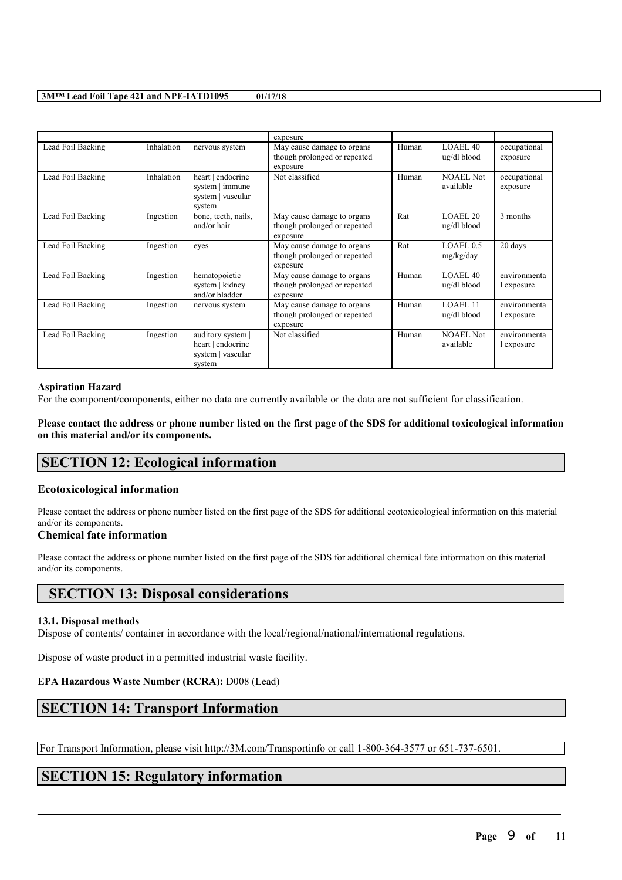|                   |            |                                                                       | exposure                                                               |       |                               |                            |
|-------------------|------------|-----------------------------------------------------------------------|------------------------------------------------------------------------|-------|-------------------------------|----------------------------|
| Lead Foil Backing | Inhalation | nervous system                                                        | May cause damage to organs<br>though prolonged or repeated<br>exposure | Human | LOAEL40<br>ug/dl blood        | occupational<br>exposure   |
| Lead Foil Backing | Inhalation | heart   endocrine<br>system   immune<br>system   vascular<br>system   | Not classified                                                         | Human | <b>NOAEL Not</b><br>available | occupational<br>exposure   |
| Lead Foil Backing | Ingestion  | bone, teeth, nails,<br>and/or hair                                    | May cause damage to organs<br>though prolonged or repeated<br>exposure | Rat   | LOAEL.20<br>ug/dl blood       | 3 months                   |
| Lead Foil Backing | Ingestion  | eves                                                                  | May cause damage to organs<br>though prolonged or repeated<br>exposure | Rat   | LOAEL0.5<br>mg/kg/day         | 20 days                    |
| Lead Foil Backing | Ingestion  | hematopoietic<br>system   kidney<br>and/or bladder                    | May cause damage to organs<br>though prolonged or repeated<br>exposure | Human | LOAEL.40<br>ug/dl blood       | environmenta<br>l exposure |
| Lead Foil Backing | Ingestion  | nervous system                                                        | May cause damage to organs<br>though prolonged or repeated<br>exposure | Human | LOAEL 11<br>ug/dl blood       | environmenta<br>l exposure |
| Lead Foil Backing | Ingestion  | auditory system  <br>heart   endocrine<br>system   vascular<br>system | Not classified                                                         | Human | <b>NOAEL Not</b><br>available | environmenta<br>l exposure |

#### **Aspiration Hazard**

For the component/components, either no data are currently available or the data are not sufficient for classification.

Please contact the address or phone number listed on the first page of the SDS for additional toxicological information **on this material and/or its components.**

## **SECTION 12: Ecological information**

### **Ecotoxicological information**

Please contact the address or phone number listed on the first page of the SDS for additional ecotoxicological information on this material and/or its components.

### **Chemical fate information**

Please contact the address or phone number listed on the first page of the SDS for additional chemical fate information on this material and/or its components.

## **SECTION 13: Disposal considerations**

### **13.1. Disposal methods**

Dispose of contents/ container in accordance with the local/regional/national/international regulations.

Dispose of waste product in a permitted industrial waste facility.

### **EPA Hazardous Waste Number (RCRA):** D008 (Lead)

## **SECTION 14: Transport Information**

For Transport Information, please visit http://3M.com/Transportinfo or call 1-800-364-3577 or 651-737-6501.

 $\mathcal{L}_\mathcal{L} = \mathcal{L}_\mathcal{L} = \mathcal{L}_\mathcal{L} = \mathcal{L}_\mathcal{L} = \mathcal{L}_\mathcal{L} = \mathcal{L}_\mathcal{L} = \mathcal{L}_\mathcal{L} = \mathcal{L}_\mathcal{L} = \mathcal{L}_\mathcal{L} = \mathcal{L}_\mathcal{L} = \mathcal{L}_\mathcal{L} = \mathcal{L}_\mathcal{L} = \mathcal{L}_\mathcal{L} = \mathcal{L}_\mathcal{L} = \mathcal{L}_\mathcal{L} = \mathcal{L}_\mathcal{L} = \mathcal{L}_\mathcal{L}$ 

## **SECTION 15: Regulatory information**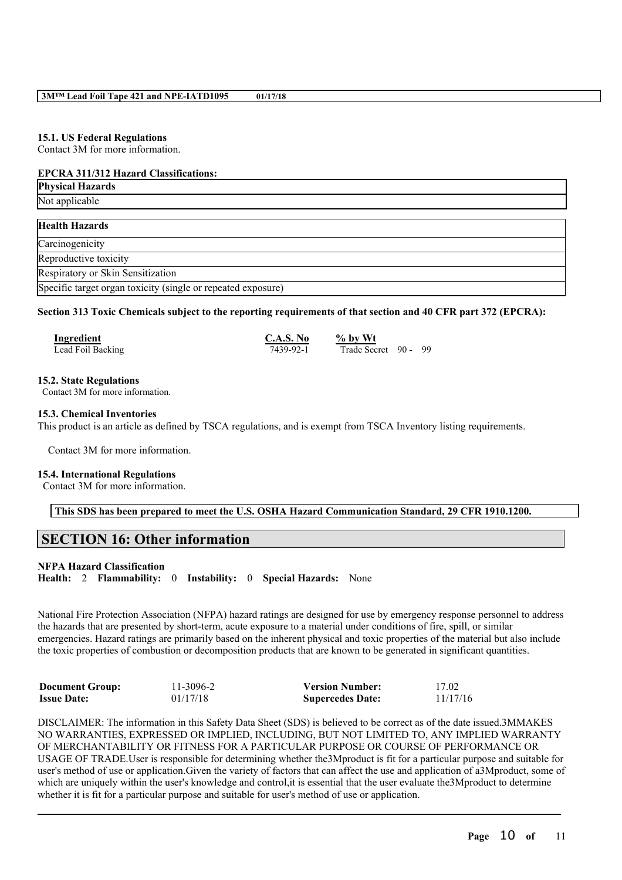#### **15.1. US Federal Regulations**

Contact 3M for more information.

#### **EPCRA 311/312 Hazard Classifications:**

| <b>Physical Hazards</b>                                      |  |
|--------------------------------------------------------------|--|
| Not applicable                                               |  |
|                                                              |  |
| <b>Health Hazards</b>                                        |  |
| Carcinogenicity                                              |  |
| Reproductive toxicity                                        |  |
| Respiratory or Skin Sensitization                            |  |
| Specific target organ toxicity (single or repeated exposure) |  |

Section 313 Toxic Chemicals subject to the reporting requirements of that section and 40 CFR part 372 (EPCRA):

| Ingredient        | C.A.S. No | $\%$ by Wt           |  |
|-------------------|-----------|----------------------|--|
| Lead Foil Backing | 7439-92-1 | Trade Secret 90 - 99 |  |

#### **15.2. State Regulations**

Contact 3M for more information.

#### **15.3. Chemical Inventories**

This product is an article as defined by TSCA regulations, and is exempt from TSCA Inventory listing requirements.

Contact 3M for more information.

#### **15.4. International Regulations**

Contact 3M for more information.

#### **This SDS has been prepared to meet the U.S. OSHA Hazard Communication Standard, 29 CFR 1910.1200.**

## **SECTION 16: Other information**

#### **NFPA Hazard Classification**

**Health:** 2 **Flammability:** 0 **Instability:** 0 **Special Hazards:** None

National Fire Protection Association (NFPA) hazard ratings are designed for use by emergency response personnel to address the hazards that are presented by short-term, acute exposure to a material under conditions of fire, spill, or similar emergencies. Hazard ratings are primarily based on the inherent physical and toxic properties of the material but also include the toxic properties of combustion or decomposition products that are known to be generated in significant quantities.

| <b>Document Group:</b> | 11-3096-2 | <b>Version Number:</b>  | 17.02    |
|------------------------|-----------|-------------------------|----------|
| <b>Issue Date:</b>     | 01/17/18  | <b>Supercedes Date:</b> | 11/17/16 |

DISCLAIMER: The information in this Safety Data Sheet (SDS) is believed to be correct as of the date issued.3MMAKES NO WARRANTIES, EXPRESSED OR IMPLIED, INCLUDING, BUT NOT LIMITED TO, ANY IMPLIED WARRANTY OF MERCHANTABILITY OR FITNESS FOR A PARTICULAR PURPOSE OR COURSE OF PERFORMANCE OR USAGE OF TRADE.User is responsible for determining whether the3Mproduct is fit for a particular purpose and suitable for user's method of use or application.Given the variety of factors that can affect the use and application of a3Mproduct, some of which are uniquely within the user's knowledge and control, it is essential that the user evaluate the3Mproduct to determine whether it is fit for a particular purpose and suitable for user's method of use or application.